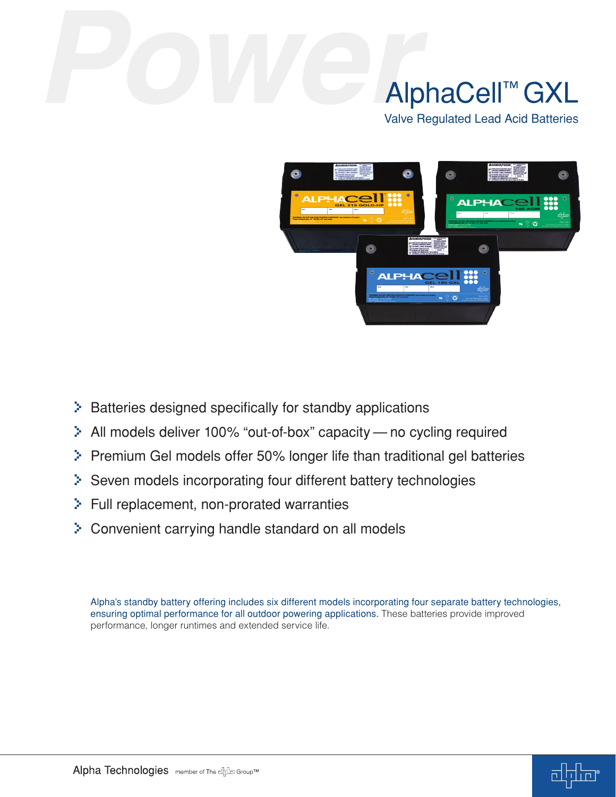# AlphaCell™ GXL

Valve Regulated Lead Acid Batteries



- > Batteries designed specifically for standby applications
- > All models deliver 100% "out-of-box" capacity no cycling required
- > Premium Gel models offer 50% longer life than traditional gel batteries
- > Seven models incorporating four different battery technologies
- > Full replacement, non-prorated warranties
- > Convenient carrying handle standard on all models

Alpha's standby battery offering includes six different models incorporating four separate battery technologies, ensuring optimal performance for all outdoor powering applications. These batteries provide improved performance, longer runtimes and extended service life.